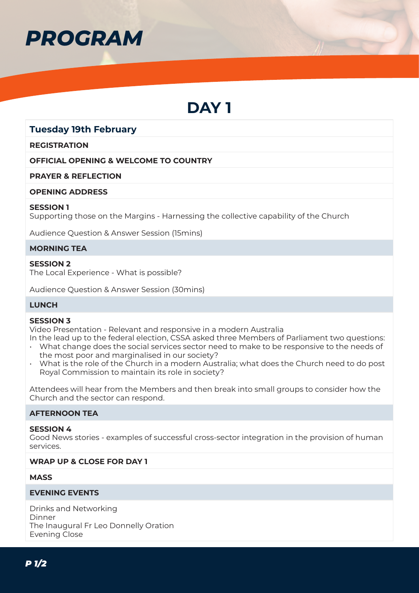

# **DAY 1**

# **Tuesday 19th February**

#### **REGISTRATION**

#### **OFFICIAL OPENING & WELCOME TO COUNTRY**

#### **PRAYER & REFLECTION**

#### **OPENING ADDRESS**

#### **SESSION 1**

Supporting those on the Margins - Harnessing the collective capability of the Church

Audience Question & Answer Session (15mins)

#### **MORNING TEA**

# **SESSION 2**

The Local Experience - What is possible?

Audience Question & Answer Session (30mins)

# **LUNCH**

#### **SESSION 3**

Video Presentation - Relevant and responsive in a modern Australia

In the lead up to the federal election, CSSA asked three Members of Parliament two questions:

- What change does the social services sector need to make to be responsive to the needs of the most poor and marginalised in our society?
- What is the role of the Church in a modern Australia; what does the Church need to do post Royal Commission to maintain its role in society?

Attendees will hear from the Members and then break into small groups to consider how the Church and the sector can respond.

#### **AFTERNOON TEA**

#### **SESSION 4**

Good News stories - examples of successful cross-sector integration in the provision of human services.

#### **WRAP UP & CLOSE FOR DAY 1**

#### **MASS**

#### **EVENING EVENTS**

Drinks and Networking Dinner The Inaugural Fr Leo Donnelly Oration Evening Close